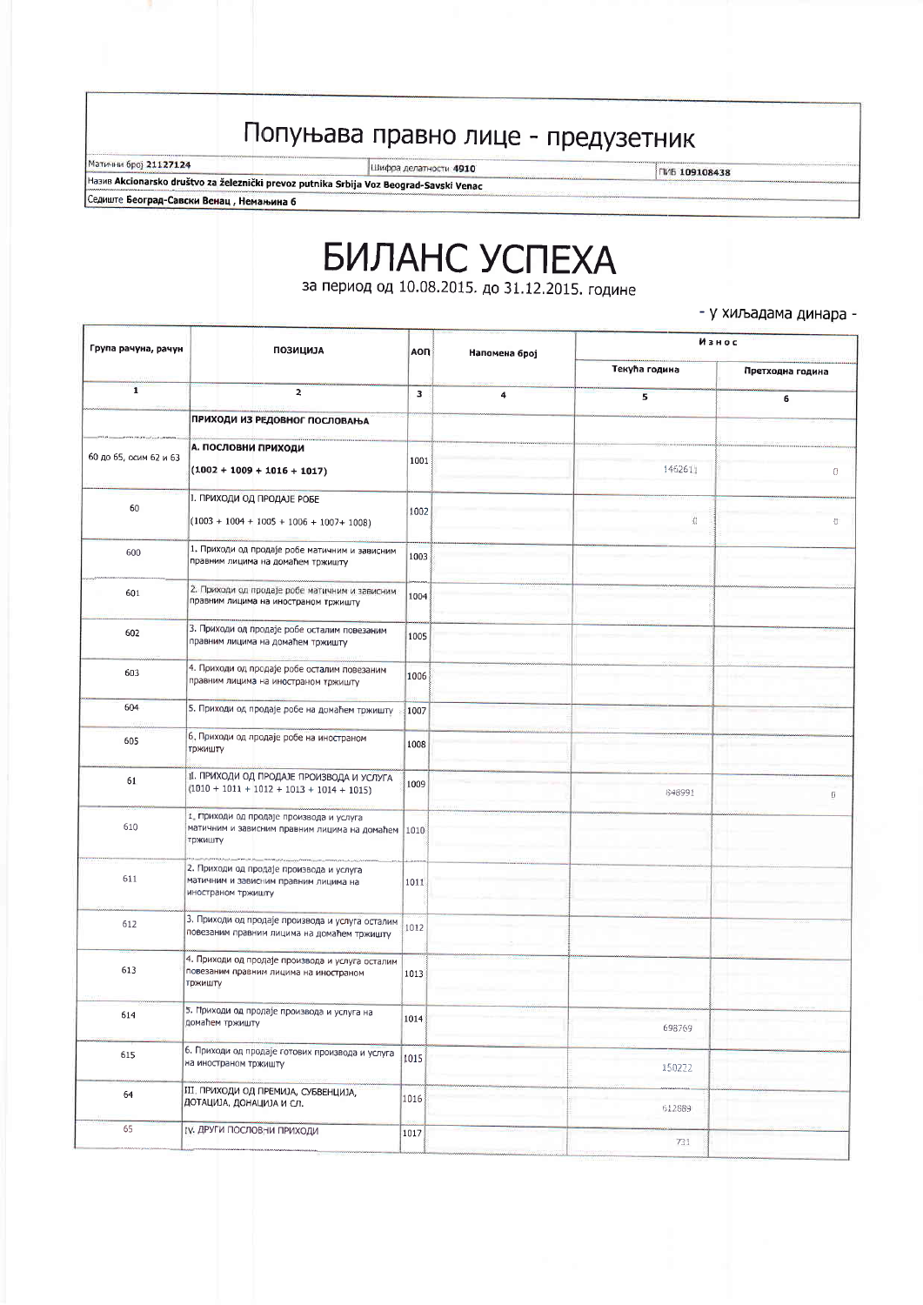## Попуњава правно лице - предузетник

Матични број 21127124

Шифра делатности 4910

ПИБ 109108438

Ha3MB Akcionarsko društvo za železnički prevoz putnika Srbija Voz Beograd-Savski Venac Седиште Београд-Савски Венац, Немањина 6

## **БИЛАНС УСПЕХА** за период од 10.08.2015. до 31.12.2015. године

- у хиљадама динара -

| Група рачуна, рачун    | <b>ПОЗИЦИЈА</b>                                                                                           | <b>AON</b><br>Напомена број | Износ |               |                  |
|------------------------|-----------------------------------------------------------------------------------------------------------|-----------------------------|-------|---------------|------------------|
|                        |                                                                                                           |                             |       | Текућа година | Претходна година |
| $\mathbf{1}$           | $\overline{\mathbf{z}}$                                                                                   | 3                           | 4     | 5             | 6                |
|                        | ПРИХОДИ ИЗ РЕДОВНОГ ПОСЛОВАЊА                                                                             |                             |       |               |                  |
| 60 до 65, осим 62 и 63 | А. ПОСЛОВНИ ПРИХОДИ<br>$(1002 + 1009 + 1016 + 1017)$                                                      | 1001                        |       | 1462611       | 0                |
| 60                     | I. ПРИХОДИ ОД ПРОДАЈЕ РОБЕ<br>$(1003 + 1004 + 1005 + 1006 + 1007 + 1008)$                                 | 1002                        |       | 启             | Ū                |
| 600                    | 1. Приходи од продаје робе матичним и зависним<br>правним лицима на домаћем тржишту                       | 1003                        |       |               |                  |
| 601                    | 2. Приходи од продаје робе матичним и зависним<br>правним лицима на иностраном тржишту                    | 1004                        |       |               |                  |
| 602                    | 3. Приходи од продаје робе осталим повезаним<br>правним лицима на домаћем тржишту                         | 1005                        |       |               |                  |
| 603                    | 4. Приходи од продаје робе осталим повезаним<br>правним лицима на иностраном тржишту                      | 1006                        |       |               |                  |
| 604                    | 5. Приходи од продаје робе на домаћем тржишту                                                             | 1007                        |       |               |                  |
| 605                    | 6. Приходи од продаје робе на иностраном<br>тржишту                                                       | 1008                        |       |               |                  |
| 61                     | II. ПРИХОДИ ОД ПРОДАЈЕ ПРОИЗВОДА И УСЛУГА<br>$(1010 + 1011 + 1012 + 1013 + 1014 + 1015)$                  | 1009                        |       | 848991        | 0                |
| 610                    | 1. Приходи од продаје производа и услуга<br>матичним и зависним правним лицима на домаћем 1010<br>тржишту |                             |       |               |                  |
| 611                    | 2. Приходи од продаје производа и услуга<br>матичним и зависним правним лицима на<br>иностраном тржишту   | 1011                        |       |               |                  |
| 612                    | 3. Приходи од продаје производа и услуга осталим<br>повезаним правним лицима на домаћем тржишту           | 1012                        |       |               |                  |
| 613                    | 4. Приходи од продаје производа и услуга осталим<br>повезаним правним лицима на иностраном<br>тржишту     | 1013                        |       |               |                  |
| 614                    | 5. Приходи од продаје производа и услуга на<br>домаћем тржишту                                            | 1014                        |       | 698769        |                  |
| 615                    | 6. Приходи од продаје готових производа и услуга<br>на иностраном тржишту                                 | 1015                        |       | 150222        |                  |
| 64                     | III. ПРИХОДИ ОД ПРЕМИЈА, СУБВЕНЦИЈА,<br>ДОТАЦИЈА, ДОНАЦИЈА И СЛ.                                          | 1016                        |       | 612889        |                  |
| 65                     | IV. ДРУГИ ПОСЛОВНИ ПРИХОДИ                                                                                | 1017                        |       | 731           |                  |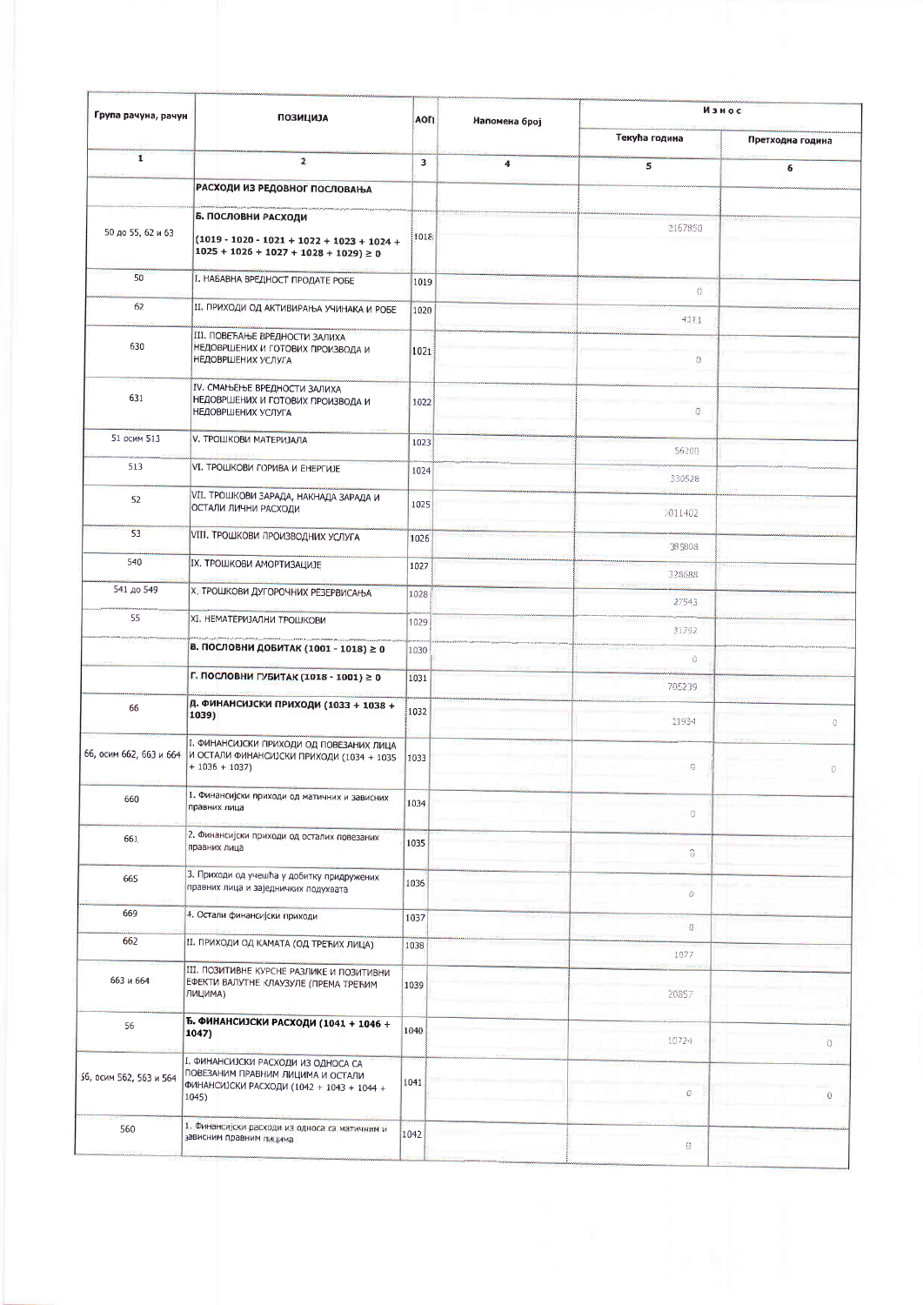| Група рачуна, рачун     | <b>ПОЗИЦИЈА</b>                                                                                                                  | АОП  | Напомена број           | Износ         |                  |  |
|-------------------------|----------------------------------------------------------------------------------------------------------------------------------|------|-------------------------|---------------|------------------|--|
|                         |                                                                                                                                  |      |                         | Текућа година | Претходна година |  |
| $\mathbf{I}$            | $\overline{2}$                                                                                                                   | 3    | $\overline{\mathbf{4}}$ | 5             | 6                |  |
|                         | РАСХОДИ ИЗ РЕДОВНОГ ПОСЛОВАЊА                                                                                                    |      |                         |               |                  |  |
|                         | Б. ПОСЛОВНИ РАСХОДИ                                                                                                              |      |                         | 2167850       |                  |  |
| 50 до 55, 62 и 63       | $(1019 - 1020 - 1021 + 1022 + 1023 + 1024 +$<br>$1025 + 1026 + 1027 + 1028 + 1029$ ≥ 0                                           | 1018 |                         |               |                  |  |
| 50                      | І. НАБАВНА ВРЕДНОСТ ПРОДАТЕ РОБЕ                                                                                                 | 1019 |                         | O.            |                  |  |
| 62                      | II. ПРИХОДИ ОД АКТИВИРАЊА УЧИНАКА И РОБЕ                                                                                         | 1020 |                         | 4111          |                  |  |
| 630                     | III. ПОВЕЋАЊЕ ВРЕДНОСТИ ЗАЛИХА<br>НЕДОВРШЕНИХ И ГОТОВИХ ПРОИЗВОДА И<br>НЕДОВРШЕНИХ УСЛУГА                                        | 1021 |                         | $\alpha$      |                  |  |
| 631                     | IV. СМАЊЕЊЕ ВРЕДНОСТИ ЗАЛИХА<br>НЕДОВРШЕНИХ И ГОТОВИХ ПРОИЗВОДА И<br>НЕДОВРШЕНИХ УСЛУГА                                          | 1022 |                         | G.            |                  |  |
| 51 осим 513             | <b>V. ТРОШКОВИ МАТЕРИЈАЛА</b>                                                                                                    | 1023 |                         | 56200         |                  |  |
| 513                     | VI. ТРОШКОВИ ГОРИВА И ЕНЕРГИЈЕ                                                                                                   | 1024 |                         | 330528        |                  |  |
| 52                      | VII. ТРОШКОВИ ЗАРАДА, НАКНАДА ЗАРАДА И<br>ОСТАЛИ ЛИЧНИ РАСХОДИ                                                                   | 1025 |                         | 1011402       |                  |  |
| 53                      | <b>VIII. ТРОШКОВИ ПРОИЗВОДНИХ УСЛУГА</b>                                                                                         | 1026 |                         | 385808        |                  |  |
| 540                     | IX. ТРОШКОВИ АМОРТИЗАЦИЈЕ                                                                                                        | 1027 |                         | 328688        |                  |  |
| 541 до 549              | Х. ТРОШКОВИ ДУГОРОЧНИХ РЕЗЕРВИСАЊА                                                                                               | 1028 |                         | 27543         |                  |  |
| 55                      | XI. НЕМАТЕРИЈАЛНИ ТРОШКОВИ                                                                                                       | 1029 |                         | 31792         |                  |  |
|                         | В. ПОСЛОВНИ ДОБИТАК (1001 - 1018) ≥ 0                                                                                            | 1030 |                         | Đ.            |                  |  |
|                         | Г. ПОСЛОВНИ ГУБИТАК (1018 - 1001) ≥ 0                                                                                            | 1031 |                         | 705239        |                  |  |
| 66                      | Д. ФИНАНСИЈСКИ ПРИХОДИ (1033 + 1038 +<br>1039)                                                                                   | 1032 |                         | 21934         | 0                |  |
|                         | 1. ФИНАНСИЈСКИ ПРИХОДИ ОД ПОВЕЗАНИХ ЛИЦА<br>66, осим 662, 663 и 664 И ОСТАЛИ ФИНАНСИЈСКИ ПРИХОДИ (1034 + 1035<br>$+ 1036 + 1037$ | 1033 |                         | 0             | 0                |  |
| 660                     | 1. Финансијски приходи од матичних и зависних<br>правних лица                                                                    | 1034 |                         | O.            |                  |  |
| 661                     | 2. Финансијски приходи од осталих повезаних<br>правних лица                                                                      | 1035 |                         | $\theta$      |                  |  |
| 665                     | 3. Приходи од учешћа у добитку придружених<br>правних лица и заједничких подухвата                                               | 1036 |                         | Û             |                  |  |
| 669                     | 4. Остали финансијски приходи                                                                                                    | 1037 |                         | i.            |                  |  |
| 662                     | II. ПРИХОДИ ОД КАМАТА (ОД ТРЕЋИХ ЛИЦА)                                                                                           | 1038 |                         | 1077          |                  |  |
| 663 и 664               | III. ПОЗИТИВНЕ КУРСНЕ РАЗЛИКЕ И ПОЗИТИВНИ<br>ЕФЕКТИ ВАЛУТНЕ КЛАУЗУЛЕ (ПРЕМА ТРЕЋИМ<br>ЛИЦИМА)                                    | 1039 |                         | 20857         |                  |  |
| 56                      | Б. ФИНАНСИЈСКИ РАСХОДИ (1041 + 1046 +<br>1047)                                                                                   | 1040 |                         | 10724         | $\Omega$         |  |
| 56, осим 562, 563 и 564 | I. ФИНАНСИЈСКИ РАСХОДИ ИЗ ОДНОСА СА<br>ПОВЕЗАНИМ ПРАВНИМ ЛИЦИМА И ОСТАЛИ<br>ФИНАНСИЈСКИ РАСХОДИ (1042 + 1043 + 1044 +<br>1045)   | 1041 |                         | $\vec{U}$     | $\overline{0}$   |  |
| 560                     | 1. Финансијски расходи из односа са матичним и<br>зависним правним лицима                                                        | 1042 |                         | 稳             |                  |  |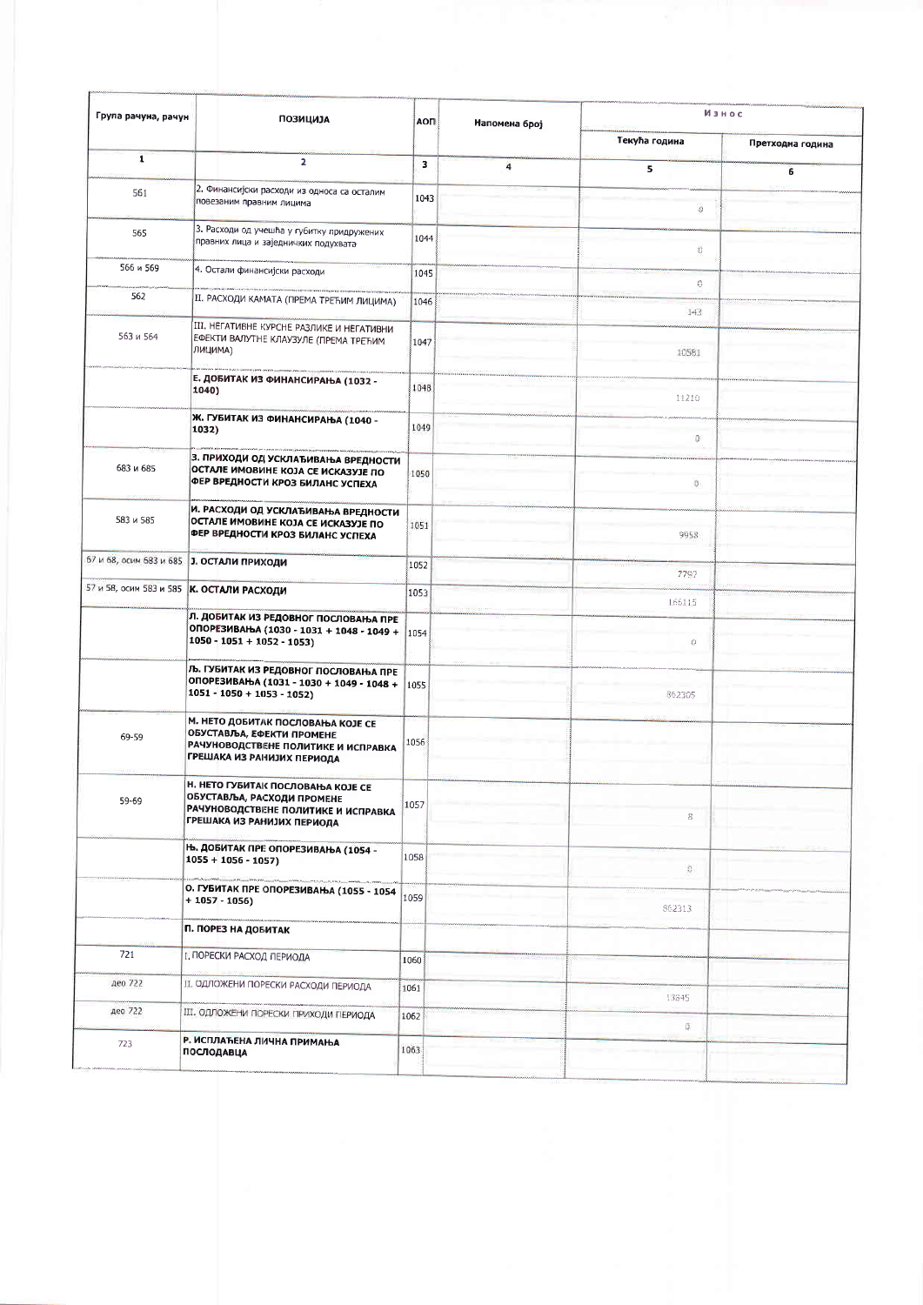| Група рачуна, рачун | <b>ПОЗИЦИЈА</b>                                                                                                                                    | АОП  | Напомена број | Износ                   |                  |
|---------------------|----------------------------------------------------------------------------------------------------------------------------------------------------|------|---------------|-------------------------|------------------|
|                     |                                                                                                                                                    |      |               | Текућа година           | Претходна година |
| $\mathbf{I}$        | $\overline{2}$                                                                                                                                     | з    | 4             | 5                       | 6                |
| 561                 | 2. Финансијски расходи из односа са осталим<br>повезаним правним лицима                                                                            | 1043 |               | $\frac{d^2}{\sqrt{2}}$  |                  |
| 565                 | 3. Расходи од учешћа у губитку придружених<br>правних лица и заједничких подухвата                                                                 | 1044 |               | Ü                       |                  |
| 566 и 569           | 4. Остали финансијски расходи                                                                                                                      | 1045 |               | 0                       |                  |
| 562                 | II. РАСХОДИ КАМАТА (ПРЕМА ТРЕЋИМ ЛИЦИМА)                                                                                                           | 1046 |               | 143                     |                  |
| 563 и 564           | III. НЕГАТИВНЕ КУРСНЕ РАЗЛИКЕ И НЕГАТИВНИ<br>ЕФЕКТИ ВАЛУТНЕ КЛАУЗУЛЕ (ПРЕМА ТРЕЋИМ<br>ЛИЦИМА)                                                      | 1047 |               | 10581                   |                  |
|                     | Е. ДОБИТАК ИЗ ФИНАНСИРАЊА (1032 -<br>1040)                                                                                                         | 1048 |               | 11210                   |                  |
|                     | Ж. ГУБИТАК ИЗ ФИНАНСИРАЊА (1040 -<br>1032)                                                                                                         | 1049 |               | 0                       |                  |
| 683 и 685           | 3. ПРИХОДИ ОД УСКЛАЂИВАЊА ВРЕДНОСТИ<br>ОСТАЛЕ ИМОВИНЕ КОЈА СЕ ИСКАЗУЈЕ ПО<br>ФЕР ВРЕДНОСТИ КРОЗ БИЛАНС УСПЕХА                                      | 1050 |               | $\circ$                 |                  |
| 583 и 585           | И. РАСХОДИ ОД УСКЛАЂИВАЊА ВРЕДНОСТИ<br>ОСТАЛЕ ИМОВИНЕ КОЈА СЕ ИСКАЗУЈЕ ПО<br>ФЕР ВРЕДНОСТИ КРОЗ БИЛАНС УСПЕХА                                      | 1051 |               | 9958                    |                  |
|                     | 67 и 68, осим 683 и 685 3. ОСТАЛИ ПРИХОДИ                                                                                                          | 1052 |               | 7797                    |                  |
|                     | 57 и 58, осим 583 и 585  К. ОСТАЛИ РАСХОДИ                                                                                                         | 1053 |               | 166115                  |                  |
|                     | Л. ДОБИТАК ИЗ РЕДОВНОГ ПОСЛОВАЊА ПРЕ<br>ОПОРЕЗИВАЊА (1030 - 1031 + 1048 - 1049 +<br>$1050 - 1051 + 1052 - 1053$                                    | 1054 |               | Ů.                      |                  |
|                     | Љ. ГУБИТАК ИЗ РЕДОВНОГ ПОСЛОВАЊА ПРЕ<br>ОПОРЕЗИВАЊА (1031 - 1030 + 1049 - 1048 +<br>$1051 - 1050 + 1053 - 1052$                                    | 1055 |               | 862305                  |                  |
| 69-59               | М. НЕТО ДОБИТАК ПОСЛОВАЊА КОЈЕ СЕ<br>ОБУСТАВЉА, ЕФЕКТИ ПРОМЕНЕ<br>РАЧУНОВОДСТВЕНЕ ПОЛИТИКЕ И ИСПРАВКА<br>ГРЕШАКА ИЗ РАНИЈИХ ПЕРИОДА                | 1056 |               |                         |                  |
| 59-69               | <b>Н. НЕТО ГУБИТАК ПОСЛОВАЊА КОЈЕ СЕ</b><br>ОБУСТАВЉА, РАСХОДИ ПРОМЕНЕ<br>РАЧУНОВОДСТВЕНЕ ПОЛИТИКЕ И ИСПРАВКА<br><b>ГРЕШАКА ИЗ РАНИЈИХ ПЕРИОДА</b> | 1057 |               | 8                       |                  |
|                     | Њ. ДОБИТАК ПРЕ ОПОРЕЗИВАЊА (1054 -<br>$1055 + 1056 - 1057$                                                                                         | 1058 |               | $\langle \hat{U}_\mu  $ |                  |
|                     | О. ГУБИТАК ПРЕ ОПОРЕЗИВАЊА (1055 - 1054<br>$+1057-1056$                                                                                            | 1059 |               | 862313                  |                  |
|                     | П. ПОРЕЗ НА ДОБИТАК                                                                                                                                |      |               |                         |                  |
| 721                 | I. ПОРЕСКИ РАСХОД ПЕРИОДА                                                                                                                          | 1060 |               |                         |                  |
| део 722             | II. ОДЛОЖЕНИ ПОРЕСКИ РАСХОДИ ПЕРИОДА                                                                                                               | 1061 |               | 13845                   |                  |
| део 722             | III. ОДЛОЖЕНИ ПОРЕСКИ ПРИХОДИ ПЕРИОДА                                                                                                              | 1062 |               | Ű.                      |                  |
| 723                 | Р. ИСПЛАЋЕНА ЛИЧНА ПРИМАЊА<br>ПОСЛОДАВЦА                                                                                                           | 1063 |               |                         |                  |